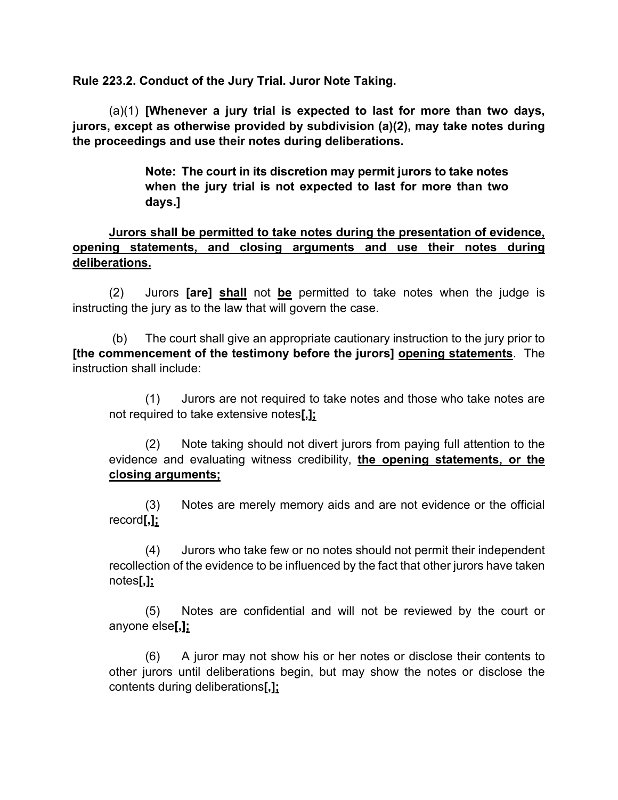**Rule 223.2. Conduct of the Jury Trial. Juror Note Taking.**

(a)(1) **[Whenever a jury trial is expected to last for more than two days, jurors, except as otherwise provided by subdivision (a)(2), may take notes during the proceedings and use their notes during deliberations.**

> **Note: The court in its discretion may permit jurors to take notes when the jury trial is not expected to last for more than two days.]**

## **Jurors shall be permitted to take notes during the presentation of evidence, opening statements, and closing arguments and use their notes during deliberations.**

(2) Jurors **[are] shall** not **be** permitted to take notes when the judge is instructing the jury as to the law that will govern the case.

(b) The court shall give an appropriate cautionary instruction to the jury prior to **[the commencement of the testimony before the jurors] opening statements**. The instruction shall include:

(1) Jurors are not required to take notes and those who take notes are not required to take extensive notes**[,];**

(2) Note taking should not divert jurors from paying full attention to the evidence and evaluating witness credibility, **the opening statements, or the closing arguments;**

(3) Notes are merely memory aids and are not evidence or the official record**[,];**

(4) Jurors who take few or no notes should not permit their independent recollection of the evidence to be influenced by the fact that other jurors have taken notes**[,];**

(5) Notes are confidential and will not be reviewed by the court or anyone else**[,];**

(6) A juror may not show his or her notes or disclose their contents to other jurors until deliberations begin, but may show the notes or disclose the contents during deliberations**[,];**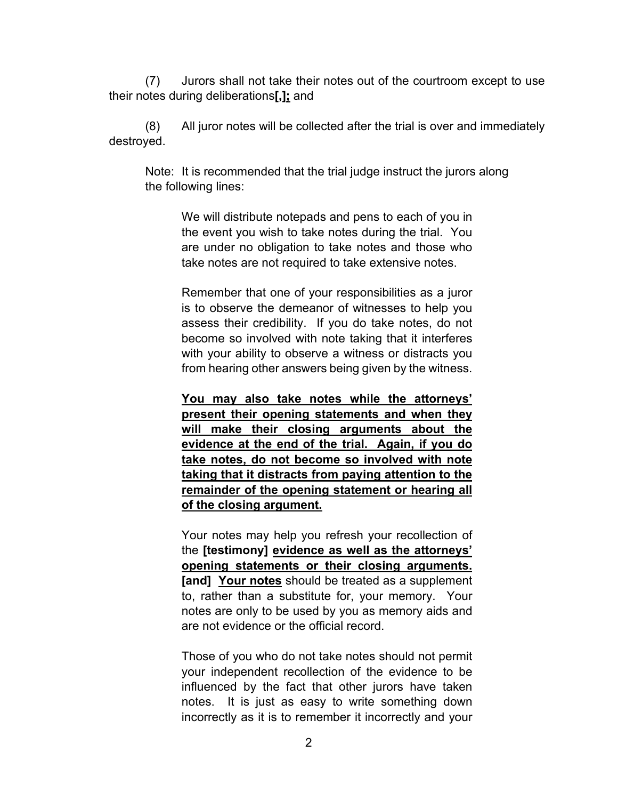(7) Jurors shall not take their notes out of the courtroom except to use their notes during deliberations**[,];** and

(8) All juror notes will be collected after the trial is over and immediately destroyed.

Note: It is recommended that the trial judge instruct the jurors along the following lines:

> We will distribute notepads and pens to each of you in the event you wish to take notes during the trial. You are under no obligation to take notes and those who take notes are not required to take extensive notes.

> Remember that one of your responsibilities as a juror is to observe the demeanor of witnesses to help you assess their credibility. If you do take notes, do not become so involved with note taking that it interferes with your ability to observe a witness or distracts you from hearing other answers being given by the witness.

> **You may also take notes while the attorneys' present their opening statements and when they will make their closing arguments about the evidence at the end of the trial. Again, if you do take notes, do not become so involved with note taking that it distracts from paying attention to the remainder of the opening statement or hearing all of the closing argument.**

> Your notes may help you refresh your recollection of the **[testimony] evidence as well as the attorneys' opening statements or their closing arguments. [and] Your notes** should be treated as a supplement to, rather than a substitute for, your memory. Your notes are only to be used by you as memory aids and are not evidence or the official record.

> Those of you who do not take notes should not permit your independent recollection of the evidence to be influenced by the fact that other jurors have taken notes. It is just as easy to write something down incorrectly as it is to remember it incorrectly and your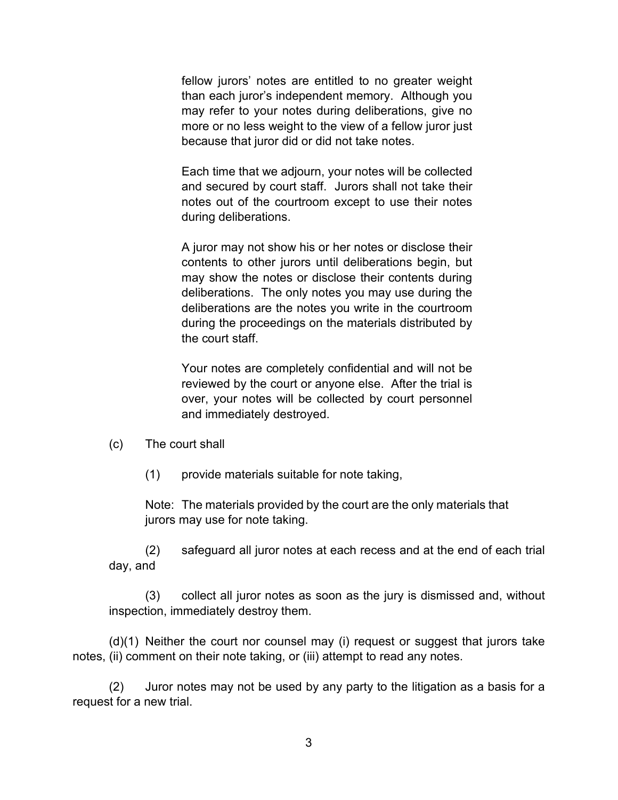fellow jurors' notes are entitled to no greater weight than each juror's independent memory. Although you may refer to your notes during deliberations, give no more or no less weight to the view of a fellow juror just because that juror did or did not take notes.

Each time that we adjourn, your notes will be collected and secured by court staff. Jurors shall not take their notes out of the courtroom except to use their notes during deliberations.

A juror may not show his or her notes or disclose their contents to other jurors until deliberations begin, but may show the notes or disclose their contents during deliberations. The only notes you may use during the deliberations are the notes you write in the courtroom during the proceedings on the materials distributed by the court staff.

Your notes are completely confidential and will not be reviewed by the court or anyone else. After the trial is over, your notes will be collected by court personnel and immediately destroyed.

(c) The court shall

(1) provide materials suitable for note taking,

Note: The materials provided by the court are the only materials that jurors may use for note taking.

(2) safeguard all juror notes at each recess and at the end of each trial day, and

(3) collect all juror notes as soon as the jury is dismissed and, without inspection, immediately destroy them.

(d)(1) Neither the court nor counsel may (i) request or suggest that jurors take notes, (ii) comment on their note taking, or (iii) attempt to read any notes.

 (2) Juror notes may not be used by any party to the litigation as a basis for a request for a new trial.